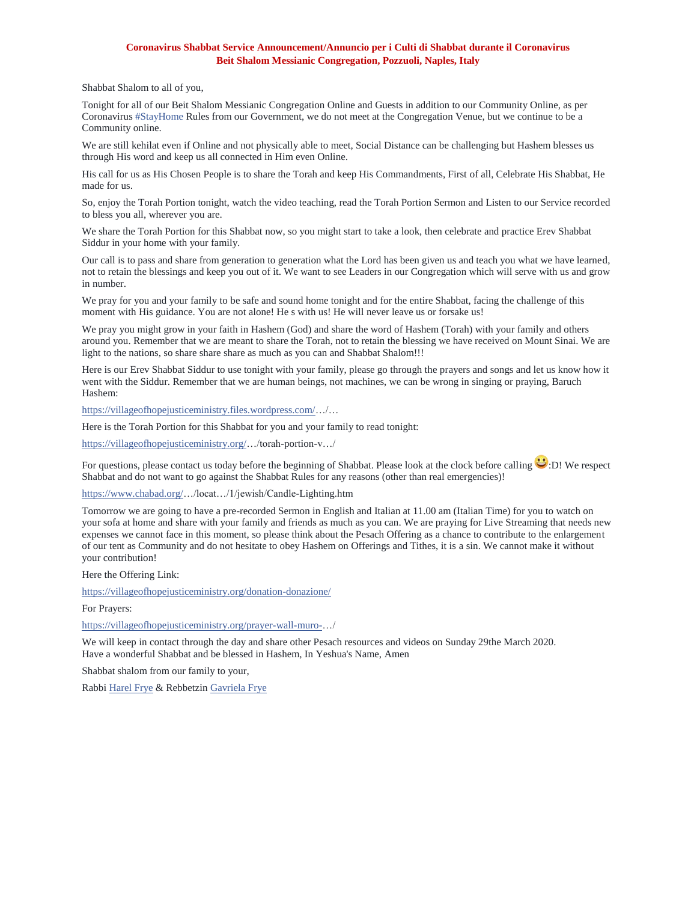## **Coronavirus Shabbat Service Announcement/Annuncio per i Culti di Shabbat durante il Coronavirus Beit Shalom Messianic Congregation, Pozzuoli, Naples, Italy**

Shabbat Shalom to all of you,

Tonight for all of our Beit Shalom Messianic Congregation Online and Guests in addition to our Community Online, as per Coronavirus [#StayHome](https://www.facebook.com/hashtag/stayhome?source=feed_text&epa=HASHTAG&__xts__%5B0%5D=68.ARCVlAcvYc0NtJTTteN86sOOjiHCkrzzk2PTC0EJTeO5_HlIMxgGNNwmgmIfLQ4ZKs3b6HWY5dxG8e9-u29PnmIuOJRG8VdNJl9dCFJOb5-0FvgPNF77kks1iDq6whnKlImcZ84e-g1YvYTmLF7V9QGzHxe_X1vvk1iXxaQ9CYqifyV5vIbnKpJEbV85zPT1DM8rZID3jNl4RdKDZFt_aOGyfzoVa8Kvl6thtTowcGYX8uoEGXbGiIflgbYKf3wCbDPlPmBwZ--llODHWH5xHqGIfqGoy1924g9rlippvOwyD_yq8evhLw-hapjHielTsYLF9WSmQ1QVPTzy3Y6z3iV1QvYr7IvH_D6JBzCjxg9SCYNZw_VtlZ-sH-J5vC9yBcKJFMn2ikUuVcAkVaoy4MLupO2PXsB5U4Qg2lZ9A9RZ-PJdA_0XdP9rDggWzHZhxj1y4vSx_W7_p05xiV5su070YhGRcPk-XTre6QMfs8pcdK0xD5tLLyCL3BuNV0RkAV5_yzRWWlvm8fQNfAamLWGogDgeQWARYw7OqrsS3CgNqZRxX_1RFbYT0BzbuTjxVdxiGYcTSsJkyn-UiTkr&__tn__=%2ANK-R) Rules from our Government, we do not meet at the Congregation Venue, but we continue to be a Community online.

We are still kehilat even if Online and not physically able to meet, Social Distance can be challenging but Hashem blesses us through His word and keep us all connected in Him even Online.

His call for us as His Chosen People is to share the Torah and keep His Commandments, First of all, Celebrate His Shabbat, He made for us.

So, enjoy the Torah Portion tonight, watch the video teaching, read the Torah Portion Sermon and Listen to our Service recorded to bless you all, wherever you are.

We share the Torah Portion for this Shabbat now, so you might start to take a look, then celebrate and practice Erev Shabbat Siddur in your home with your family.

Our call is to pass and share from generation to generation what the Lord has been given us and teach you what we have learned, not to retain the blessings and keep you out of it. We want to see Leaders in our Congregation which will serve with us and grow in number.

We pray for you and your family to be safe and sound home tonight and for the entire Shabbat, facing the challenge of this moment with His guidance. You are not alone! He s with us! He will never leave us or forsake us!

We pray you might grow in your faith in Hashem (God) and share the word of Hashem (Torah) with your family and others around you. Remember that we are meant to share the Torah, not to retain the blessing we have received on Mount Sinai. We are light to the nations, so share share share as much as you can and Shabbat Shalom!!!

Here is our Erev Shabbat Siddur to use tonight with your family, please go through the prayers and songs and let us know how it went with the Siddur. Remember that we are human beings, not machines, we can be wrong in singing or praying, Baruch Hashem:

[https://villageofhopejusticeministry.files.wordpress.com/…](https://l.facebook.com/l.php?u=https%3A%2F%2Fvillageofhopejusticeministry.files.wordpress.com%2F%3Ffbclid%3DIwAR0AZDu1VYD-_6KXzVeGnQkOozV7YKWEOPqWMXE8Oz5n1dReyaRrEYkP19k&h=AT1h-IaT8NWvDTATDfJZlm_pW52_8mQ--1hJqKXZIabCTAposJefjmArkalghptXRmWnwpdO0Tk6AbL7UgNPP-U6NwFGPvxzQibE9UfVJ-ZLSBis86DUE9Gkdy6440oRS0HZNzc7X5dfC1dgD1bxg-OwxwpJJiyI-s3GmP9IgtOsYoBaHCdL-gIIIX5AN-hFcU9KFkICHTLqdjByaSetelwKuJ-PRtt8OJ9exVcjB0TX4pGUdo6tCvCjDFiWbJjpC6yHAtYRN1RBNKfq_JteSbp6zv7Ca_HKy2y_7DlpaUMB_GodEcES9BqMwvKe2fjL4EoWon4sUtV3vTlSgIKFnXjOPFlR8qrVwl6yoQRrKf_ZrLGuYaRb0X8mMwy2ZKuAvjLxsw7aqm-t3sNIEzTQd5XxTSaPJ2dwTy0IQ120WaNQ2R2WjadNOV6fOkliPhDEpL10-ow_XA8V6pkkBeyA0JP5P6kFyXJUIucKOU6CgZldYAEOztiCfL_hfLTNazGxRNRVoQvcfb2xdoclnqEt8pxAoicEDv0z5NqHr0Hi5kXhQPhKIH57052zCa6ImG8cOEgEx7cUSy70SR7qDx-e0dSDd3cx_SXrBoAjGJEnpcBRP4p2BgLizkG8rvOhXFYSC8d7Qjg9TVyEGUg9Y0vAuxJfImecZpyQFDq15S_phmjDovXyfEDAMnK-hDOuMpBriU1vlTWsw71TNWNIQVaOESfLnptT3XoAWKkmMOT-DQoar9CJxYmMNrxGYY4GgL0zQNSCnB6B9dOGQkz_HtT7S7rOrw7vmah_xld4o0hEqkJERBgK4AYekZBsLp-NMphhfFeIwffCzE5jlT1T4PlpuSyfRFfce3lqKA17DN2F-KX41qMh9xLFSRWzttvvGBTeBO2TiRiO-lxMY1PtYpMpB712Yx_GmHztMPwsfGnNKQGbB17zar2Bsuy-cbMu5Si9my-Ga5uHVT78-FTj)/…

Here is the Torah Portion for this Shabbat for you and your family to read tonight:

[https://villageofhopejusticeministry.org/…](https://l.facebook.com/l.php?u=https%3A%2F%2Fvillageofhopejusticeministry.org%2F%3Ffbclid%3DIwAR3N3ZGg4MmUcyJF1IqLKqjZyhQFWeI-oyJ2D8Dh9IoCtVo6lrt0f9LeaGw&h=AT0rZa8OGISODvKXnyQo3kDzCXRvHrKLn9M8TZwTj-y1mcDiGIzeuZ1-ZvqsCFQXToqdIYKVeXStv9Un5p1s4SN6f4eFhzjJ3BMNv_QRwfvLdfRn-VIrSPxhPZbhr75YEfkXsmADZYl1qo56CVIVVsQa2Z2QVUBxQsyrWOa-gBQzRf-vKqE_RsPMjbs79JPljJrEVKQh7qA5QKTo-tgx_C653-P2D65UB-FMfU8Ib0aqs8eepwjf5rsmZWrC3YR9NcGTEkke0EhsPTgp2yP-Wa64OfN8-FuhlqJ2aExYav6u9gPr1mYwDeN6Twhi2RGR8ubktN69nxSk81iHLO_odXjxXLrXwgFjEmrrwZX_aN6lXDMUw0F6Kg8HB_9ThMebz_xv2BbBSPAD3TSM-Zl3weF7cZix8c0p6aAFZc9swHFX_edsLZMzx8Zug6OaFtvRrReYdtAt2eolezOiXW6K8bCZPlfHsPsIlKxNUuD2l72TQXhIXCwH8hQuCm13w24TzzOgtJMclQ366vK0anZPHMf0C33HnokWp3xL-_-5NOo7hR7zVlJ4a4zQ-VyMNdQ2SrkBNCng4v-0Ao-orEgG7T86tA6PbbKn247LPlkpGMhhgz01LkZP9vU089lgWoM6Y5wL93XlCPciXfKiII9t76mApL6FhauTZ8MqNU4nWE5t2qWD7k-wt3DIqw4bjDoMq7Euj3aaRxewOYg3cjzJ-gIZ1xIdTTy11Qe-64-lYMmqCLazt7YaiQk55hVrYm5wbFBpKijG7uWeyjH37083vbF-ctJt9IwwqwVcpDI1xupfFD6oX7GBysbCRGRL7CuHbuvpGaG_OacsXKeHQqHCqSBTCeEC_H51cSgEhqf8qaHIE_fULP5j9iNSyky6odAiOfMSgvrecfbRl5L_lOs9Ji9Mz0L8-SfcYIcOgtNBUHxrrJMkgLPLFSIWjzSgNjDRttatdSSJu5C5gt5s)/torah-portion-v…/

For questions, please contact us today before the beginning of Shabbat. Please look at the clock before calling  $\cup$ :D! We respect Shabbat and do not want to go against the Shabbat Rules for any reasons (other than real emergencies)!

[https://www.chabad.org/…](https://l.facebook.com/l.php?u=https%3A%2F%2Fwww.chabad.org%2F%3Ffbclid%3DIwAR3t3MB_sG157aC9EXdvCQAcpjVZYrRM8wj2pYU0-ttizX8zAGUTyY9TkS0&h=AT1zpS3BkowiGbQMJhlAjW-RlUeqdags0DgqcBvDysYsWiKuU_ZdCyWgoSB62gqGBcVStChQKK2kNO-AAxElknAjn84WPE2hfWwH0tcyUoxjatW490-IzKye8ajLoHiBM0Oln31cIZSUXC53hsasGSXHPwIHS40ma9XXbZ_0fn5qLFTimXPOCiNKaHSlUIGmszQMaZ-pZtDQBghIx7nOC2BmRunYY0PTZ8SWQ7BJadV9CK9ZMBZOEF769i7w6eFNaEGemhu-RPeAIOSnZDpMqx7082G8oMpXHU_EtxQH2fPLaooxHbRmv9a1Aweujh_pC-yT_21m-74xQJgjws6U8Q2lgId7mqDMhQJdDP1kk4I5Xqzw6SpC2QHv1Xh1jYxzaFvE3CKsQyK_o7L15aEXMK-OXfDeNuiU3jOFf8eoPYgqpYBUsCoortyWNVvxkmdvoXoZtCq0JUPESWB-WjDGyvXswtWpRJTWVLVLW6RseV4fs117lOdTy81HiQu8JYsijgOvR1k8geDNBhwBoT_Zu3iq0J-lF4Aw83KYfUootE6N8zWH6vzrYT1_qJjUbVwg9GWHSyz2mvW0KTkAAdMBaRn4wlBpPi2QaTL3I73Ve52NroQUOl7BD0-qSu7VrTD3VPoqOs3vXjeRnzBEUMKqa2lNg8yTZke6wsg-i2l3zBaqqdHNXU8GdLlQFAre6O9bUdAX8VI3U_0CvkjAuTAfPloB7rJ_Y40XJBrqbE0PVkoyNUTCdr4smL6_gaCbVPU6fEXwTGiaKhCiW9blbPL_-3vl5VlI7LnAk5tNE4plhSciul3jeRfuwn9T0K2whSQlXv1cZhwF0-hsdwwUeTh6IdxK6Btic0eJ_on2MeP2GiGH8NAWaEvYpEfXJcP3MJzaxRsqido8TfTRNNOQ6YWub5zZ1ff7vwLKnTbv86bgzs1GQe4ZNlZLpyoIFGJ8ZEwfkhHAOuccfXr5IeUl)/locat…/1/jewish/Candle-Lighting.htm

Tomorrow we are going to have a pre-recorded Sermon in English and Italian at 11.00 am (Italian Time) for you to watch on your sofa at home and share with your family and friends as much as you can. We are praying for Live Streaming that needs new expenses we cannot face in this moment, so please think about the Pesach Offering as a chance to contribute to the enlargement of our tent as Community and do not hesitate to obey Hashem on Offerings and Tithes, it is a sin. We cannot make it without your contribution!

Here the Offering Link:

[https://villageofhopejusticeministry.org/donation-donazione/](https://l.facebook.com/l.php?u=https%3A%2F%2Fvillageofhopejusticeministry.org%2Fdonation-donazione%2F%3Ffbclid%3DIwAR2dNWLd2TQly1iMO-VrlJ_n9eufLOLpOZ6IrBGMTVGvTdAn5mJ5Sb26NrE&h=AT1QrguygEZvOVzsJN4DZHkw1RBcxN8CiRR88Iv6480_89WGl98Z7uGtL-_0jUCgLcpx_tbru73RkScDS05c76ymVhkCvWanUbeUYf8GZPDqAK1XGwu9tde_4FytIAVhAbY-GcyUm_NcE3CoE_iYI7LwWC3xcseYZXOCd_6BPB3glxgAJXQABz_0iXM5vlr1OPuHAmWvHUU520BtZ5NnHTqDpA2olBgjPvbd4wDvwcl-MjrCZyehBtndY3rh2QhZnXixxaPSRGLoIqvKn2gBY-bBz8v5XJFP1E4uAVgCsqUrisOH7JLNvSR1jlqbF-E1w5AW1qfAX42L9g8HUrSdO6ydmki5rfxu8O-fqESxlXYUqJtinwSBofhbH3BIEIoiYhucEcMxUcsrOcBQSpCB9mpmdd8_flmNdsYQudQ_Rn5xPjcU0xJGb0P2kCzoPNYkTqb2rLf6dNuveYnjFqBPtpWY9dhPn1sYgsJaUT9lL08weXbkB0hBDS5mYK8cTP81DO0Wiyt13gfHxaQUaOhA9ObNLNdfQI8_5kqOtXOMWrRCAL81cdPJ7CtQk1tU0R1owv6RAm-yJ5I7DiaevegsI5pwn4xmAn0m9b0s353Y-p8OPe-uPgazn3O_N2sUT0kqs2IKkPhO_u2L5j_j3gpaLc7gXRLCz4YdPljjFsnv7l2UKwhuIvheyL-kGYkM9k1hJHWuqnLE4f-oN_ZSMLo0a2P-Sk3fq1A0asM2sTtZG99jo4JZtIP77MpRYf6nC18voEVc6c3Db7ukntdXd_ByPq-zpz1UZOXc7o2swCmk8BlX2oxsVLsI_IXhjf9gSKvAlQgXI5NDzOAUhu2aAU3u9AEn_LHPuSJJDzKN27EKfk1LnAQtIsPoz0O8Q8NCIl5_DToWjlNwxZ7Xi1-953RKAfy-pDu8zrukyAUpZzJGPaXiKqxwCFePK3MkK-cB9vTObliOrA41ZYidnBIH)

For Prayers:

[https://villageofhopejusticeministry.org/prayer-wall-muro-…](https://l.facebook.com/l.php?u=https%3A%2F%2Fvillageofhopejusticeministry.org%2Fprayer-wall-muro-%3Ffbclid%3DIwAR20yvll6dOBAWiI026i4emzokZvEXrb3v9I87Wcahe3J15lgvQgLvoOks4&h=AT1FS1oDlS_LN8o2gcgKIg0RtTJzURK9nMPWWlY6IfDarQdz5HumcCo2b87ce677Fjqky0022RSxbGybApM1N7_PNRETEGEZGwbwfmDMgxVxRvNL0vCIteCzZWvhM1bgGilIi7EaKXHpNd9WJ0dHcTlucYRH6afxqG06mZ54Wr4T72Fk8UZ2A72X-SQqjsZD6KG9HZdB8kd1o136UIF7ofHuNSUR1c5Qqbn5BMhOW9YCIgxeFOrfMj6tgp1d8Y3Ly-toMgHe5UmaRTH3F7qRKEip1xvZAqA_Xyd5Zk2FGW6vvXnu4UMpGQAgSxN0F6iGh2D4CL5TkcBHgN_txL1G1ZZ9_FyPHfDQrGf0W8YguUsRCqV4jKTTM60K80tMRbOilR40XHcinWOLv4ATCmrlT6Mx9qtMV3HCkSnfiCUtjZVKz5LRpc_hritFpqtCu5KIjvKoLQJW998rY8PjVZxMUWN0VifTY4VxGEEIusU5AXtd6Z8ygFtgFHDsGlayHgqX23MXhN3z5ch_6Q5Sra1JUbT7hPS7BjH-wNC-7M1L6qOLvZ7WoJ8xAQkozYcgwaN3c834mH7NuGU1hRxo5P3r7xesMX5o1XkxiqIovT7beW8ydVu2OaDoq6CW5a4cZDyQKbf-RztjWvvkjZb7qZ81JF7bgIpCD2teBMh0R8Ss5a-VR2P6U5oX8SysgusZt1xk3-PAMOMGF_1KBiU9YKRXElz_loSf_YqYNTA7tbxividSvgvr0sRDVqjPSclRShe3VNgiHdeV7v8allx9Z-7jYuUgOEFqoZh0h4fLqOdHpbxi7DOnk9UTw30ympxCA5s_ae25GaZIxXS2zGb9SSqm9N04HoBAnmQxgrpcJScI7fpH1Skul6qqhI8q-WMssOnzOazsztvhy3o2OrxwQNSeSNe3LvyUUbw3R9hp1tMoDXk-dg4M1g3ODORNKJprQGie18rw7MvN-4ho0Mwb)/

We will keep in contact through the day and share other Pesach resources and videos on Sunday 29the March 2020. Have a wonderful Shabbat and be blessed in Hashem, In Yeshua's Name, Amen

Shabbat shalom from our family to your,

Rabbi [Harel Frye](https://www.facebook.com/Clintalma?__tn__=K-R&eid=ARB8brjzWBwtHq9cr6BNqANEDIYGyKJ5m5jlyZUW6Iipb83s_hD_ft0eaPntYSLTgQwDOEKx9PXofwDm&fref=mentions&__xts__%5B0%5D=68.ARCVlAcvYc0NtJTTteN86sOOjiHCkrzzk2PTC0EJTeO5_HlIMxgGNNwmgmIfLQ4ZKs3b6HWY5dxG8e9-u29PnmIuOJRG8VdNJl9dCFJOb5-0FvgPNF77kks1iDq6whnKlImcZ84e-g1YvYTmLF7V9QGzHxe_X1vvk1iXxaQ9CYqifyV5vIbnKpJEbV85zPT1DM8rZID3jNl4RdKDZFt_aOGyfzoVa8Kvl6thtTowcGYX8uoEGXbGiIflgbYKf3wCbDPlPmBwZ--llODHWH5xHqGIfqGoy1924g9rlippvOwyD_yq8evhLw-hapjHielTsYLF9WSmQ1QVPTzy3Y6z3iV1QvYr7IvH_D6JBzCjxg9SCYNZw_VtlZ-sH-J5vC9yBcKJFMn2ikUuVcAkVaoy4MLupO2PXsB5U4Qg2lZ9A9RZ-PJdA_0XdP9rDggWzHZhxj1y4vSx_W7_p05xiV5su070YhGRcPk-XTre6QMfs8pcdK0xD5tLLyCL3BuNV0RkAV5_yzRWWlvm8fQNfAamLWGogDgeQWARYw7OqrsS3CgNqZRxX_1RFbYT0BzbuTjxVdxiGYcTSsJkyn-UiTkr) & Rebbetzin [Gavriela Frye](https://www.facebook.com/gavrielafrye?__tn__=K-R&eid=ARAgUtlDsk8cNdG8SATYB6qZ9EyIN7K3BmhcfUikh1J1eKF0z4eRp99sK-2ENJlKHqSTXUZHuurKVOos&fref=mentions&__xts__%5B0%5D=68.ARCVlAcvYc0NtJTTteN86sOOjiHCkrzzk2PTC0EJTeO5_HlIMxgGNNwmgmIfLQ4ZKs3b6HWY5dxG8e9-u29PnmIuOJRG8VdNJl9dCFJOb5-0FvgPNF77kks1iDq6whnKlImcZ84e-g1YvYTmLF7V9QGzHxe_X1vvk1iXxaQ9CYqifyV5vIbnKpJEbV85zPT1DM8rZID3jNl4RdKDZFt_aOGyfzoVa8Kvl6thtTowcGYX8uoEGXbGiIflgbYKf3wCbDPlPmBwZ--llODHWH5xHqGIfqGoy1924g9rlippvOwyD_yq8evhLw-hapjHielTsYLF9WSmQ1QVPTzy3Y6z3iV1QvYr7IvH_D6JBzCjxg9SCYNZw_VtlZ-sH-J5vC9yBcKJFMn2ikUuVcAkVaoy4MLupO2PXsB5U4Qg2lZ9A9RZ-PJdA_0XdP9rDggWzHZhxj1y4vSx_W7_p05xiV5su070YhGRcPk-XTre6QMfs8pcdK0xD5tLLyCL3BuNV0RkAV5_yzRWWlvm8fQNfAamLWGogDgeQWARYw7OqrsS3CgNqZRxX_1RFbYT0BzbuTjxVdxiGYcTSsJkyn-UiTkr)